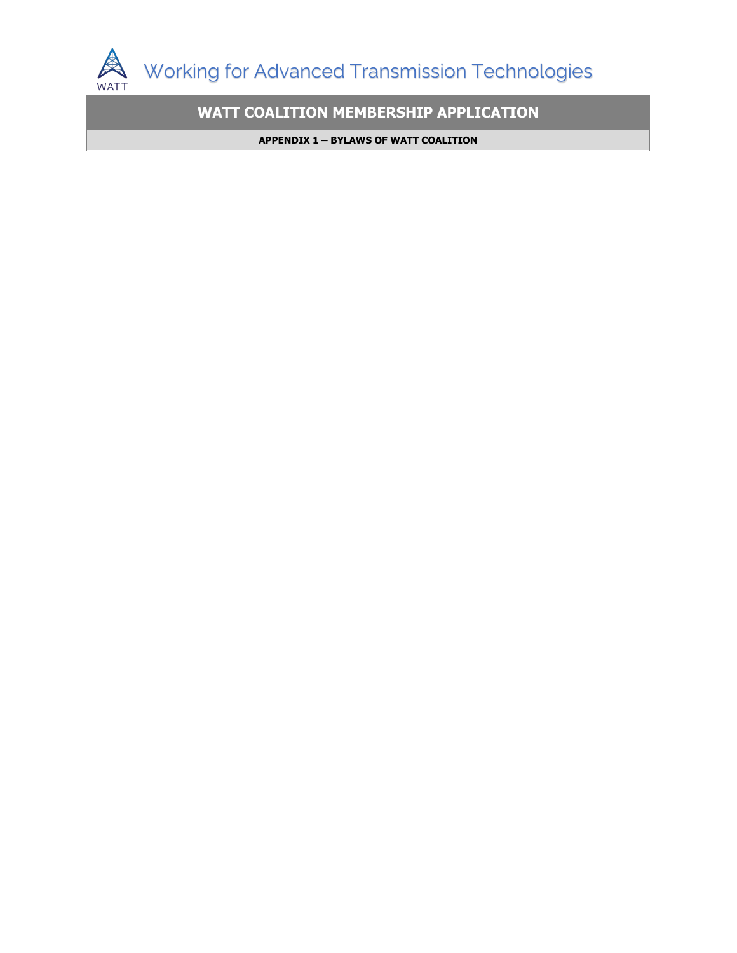

**WATT COALITION MEMBERSHIP APPLICATION**

**APPENDIX 1 – BYLAWS OF WATT COALITION**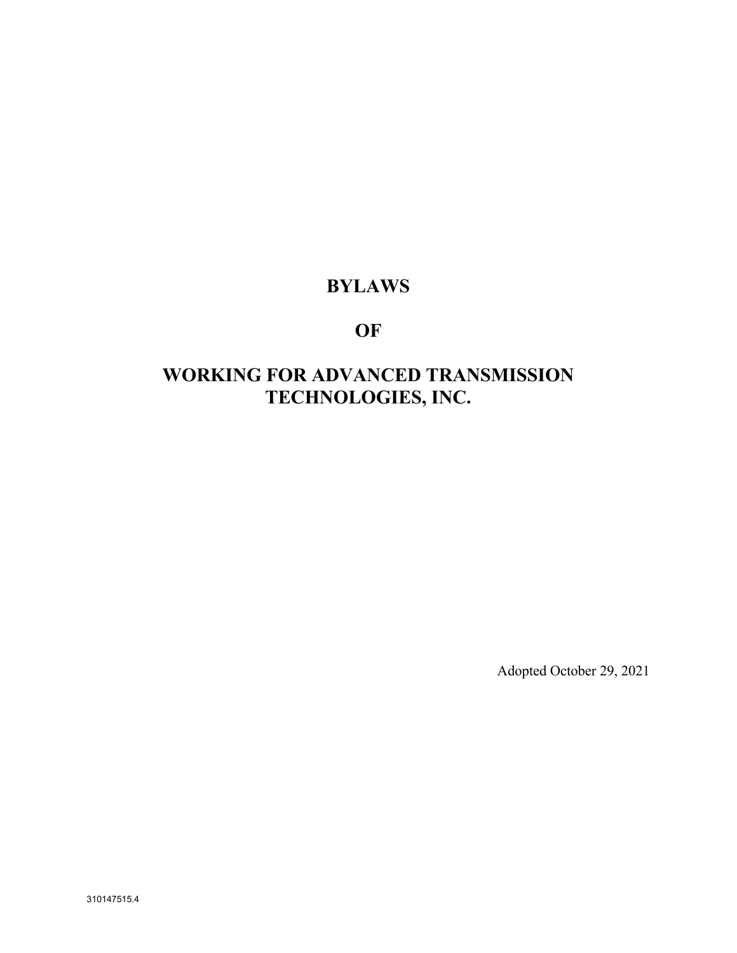# **BYLAWS**

# **OF**

# **WORKING FOR ADVANCED TRANSMISSION TECHNOLOGIES, INC.**

Adopted October 29, 2021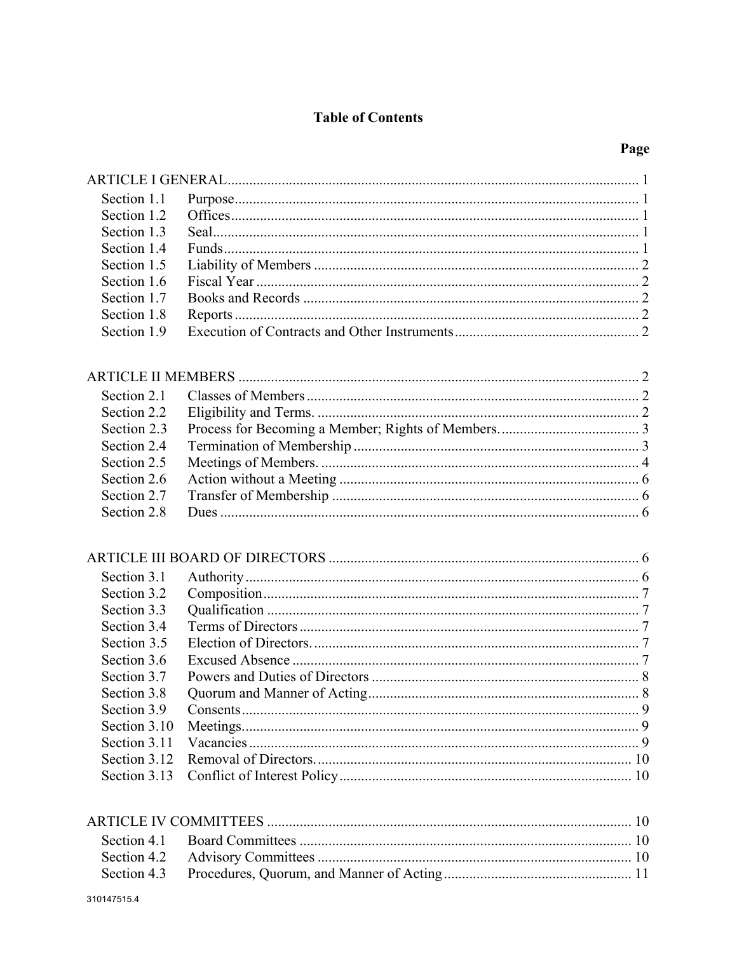# **Table of Contents**

# Page

| Section 1.1  |  |
|--------------|--|
| Section 1.2  |  |
| Section 1.3  |  |
| Section 1.4  |  |
| Section 1.5  |  |
| Section 1.6  |  |
| Section 1.7  |  |
| Section 1.8  |  |
| Section 1.9  |  |
|              |  |
| Section 2.1  |  |
| Section 2.2  |  |
| Section 2.3  |  |
| Section 2.4  |  |
| Section 2.5  |  |
| Section 2.6  |  |
| Section 2.7  |  |
| Section 2.8  |  |
|              |  |
| Section 3.1  |  |
| Section 3.2  |  |
| Section 3.3  |  |
| Section 3.4  |  |
| Section 3.5  |  |
| Section 3.6  |  |
| Section 3.7  |  |
| Section 3.8  |  |
| Section 3.9  |  |
| Section 3.10 |  |
| Section 3.11 |  |
| Section 3.12 |  |
| Section 3.13 |  |
|              |  |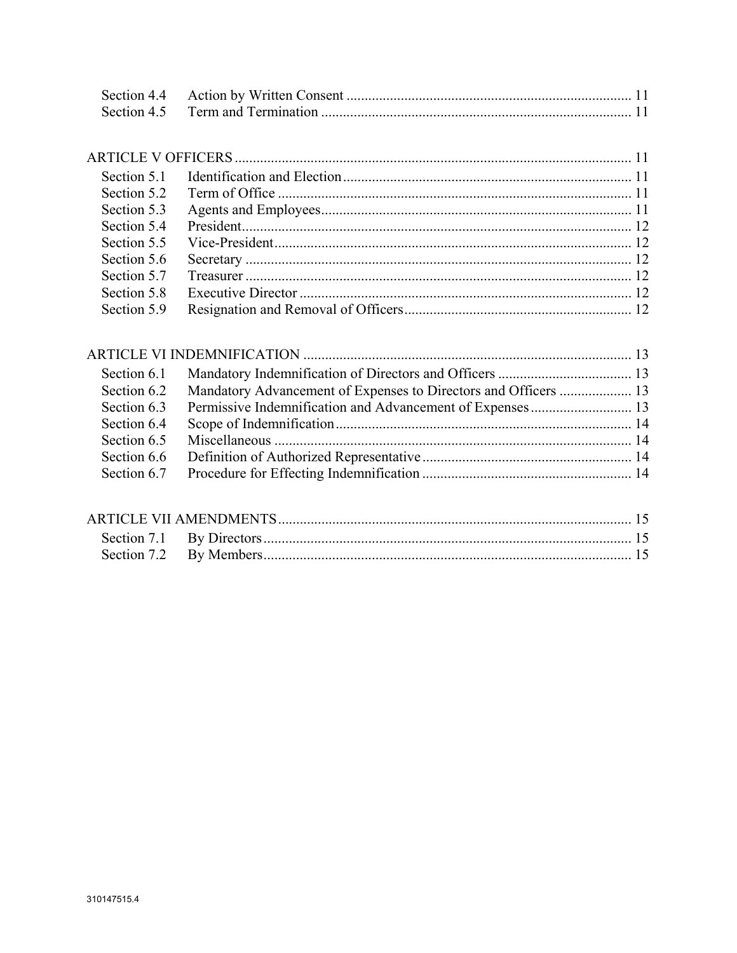| Section 5.2 |  |
|-------------|--|
| Section 5.3 |  |
| Section 5.4 |  |
| Section 5.5 |  |
| Section 5.6 |  |
| Section 5.7 |  |
| Section 5.8 |  |
| Section 5.9 |  |
|             |  |

| Section 6.1 |  |
|-------------|--|
| Section 6.2 |  |
| Section 6.3 |  |
| Section 6.4 |  |
| Section 6.5 |  |
| Section 6.6 |  |
| Section 6.7 |  |
|             |  |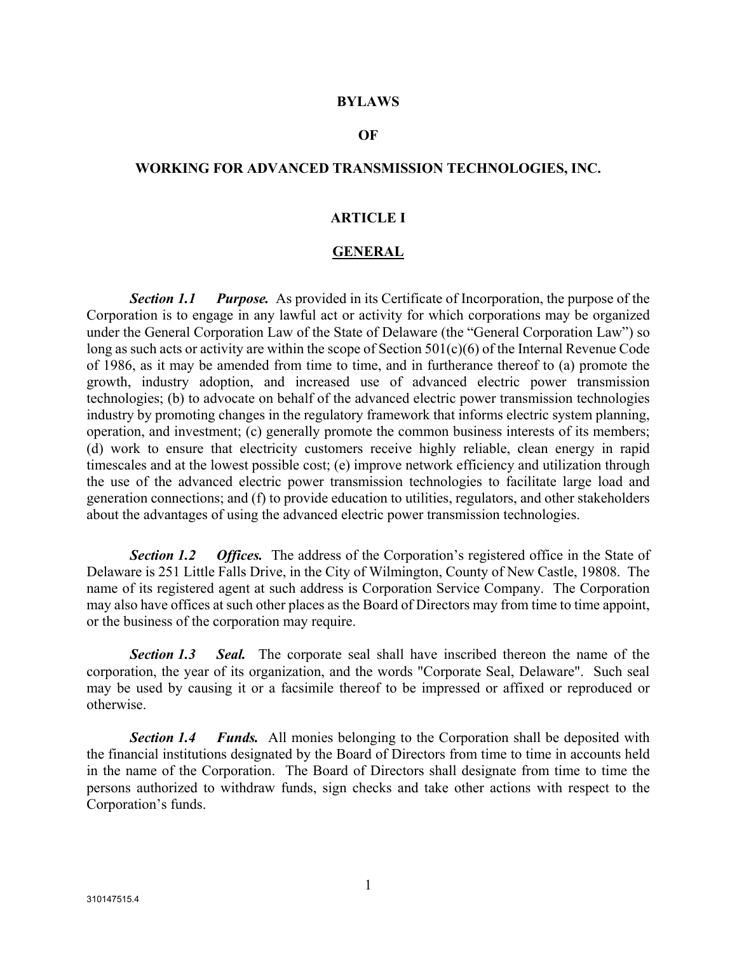#### **BYLAWS**

#### **OF**

#### **WORKING FOR ADVANCED TRANSMISSION TECHNOLOGIES, INC.**

#### **ARTICLE I**

#### **GENERAL**

*Section 1.1 Purpose.* As provided in its Certificate of Incorporation, the purpose of the Corporation is to engage in any lawful act or activity for which corporations may be organized under the General Corporation Law of the State of Delaware (the "General Corporation Law") so long as such acts or activity are within the scope of Section 501(c)(6) of the Internal Revenue Code of 1986, as it may be amended from time to time, and in furtherance thereof to (a) promote the growth, industry adoption, and increased use of advanced electric power transmission technologies; (b) to advocate on behalf of the advanced electric power transmission technologies industry by promoting changes in the regulatory framework that informs electric system planning, operation, and investment; (c) generally promote the common business interests of its members; (d) work to ensure that electricity customers receive highly reliable, clean energy in rapid timescales and at the lowest possible cost; (e) improve network efficiency and utilization through the use of the advanced electric power transmission technologies to facilitate large load and generation connections; and (f) to provide education to utilities, regulators, and other stakeholders about the advantages of using the advanced electric power transmission technologies.

*Section 1.2 Offices.* The address of the Corporation's registered office in the State of Delaware is 251 Little Falls Drive, in the City of Wilmington, County of New Castle, 19808. The name of its registered agent at such address is Corporation Service Company. The Corporation may also have offices at such other places as the Board of Directors may from time to time appoint, or the business of the corporation may require.

*Section 1.3 Seal.* The corporate seal shall have inscribed thereon the name of the corporation, the year of its organization, and the words "Corporate Seal, Delaware". Such seal may be used by causing it or a facsimile thereof to be impressed or affixed or reproduced or otherwise.

*Section 1.4 Funds.* All monies belonging to the Corporation shall be deposited with the financial institutions designated by the Board of Directors from time to time in accounts held in the name of the Corporation. The Board of Directors shall designate from time to time the persons authorized to withdraw funds, sign checks and take other actions with respect to the Corporation's funds.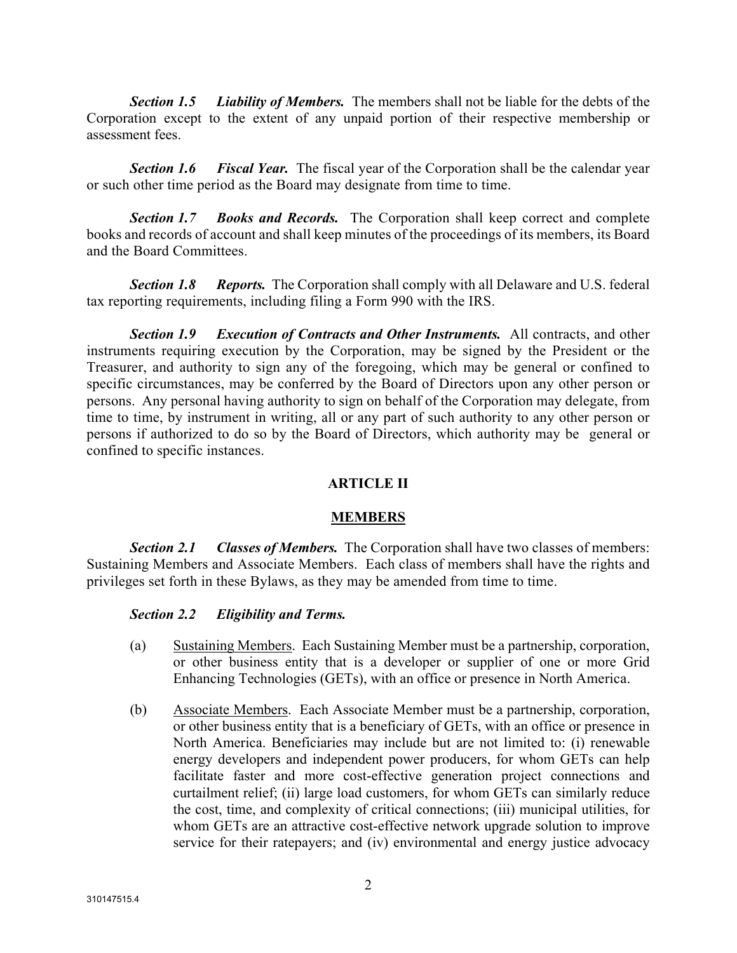*Section 1.5 Liability of Members.* The members shall not be liable for the debts of the Corporation except to the extent of any unpaid portion of their respective membership or assessment fees.

*Section 1.6 Fiscal Year.* The fiscal year of the Corporation shall be the calendar year or such other time period as the Board may designate from time to time.

*Section 1.7 Books and Records.* The Corporation shall keep correct and complete books and records of account and shall keep minutes of the proceedings of its members, its Board and the Board Committees.

*Section 1.8 Reports.* The Corporation shall comply with all Delaware and U.S. federal tax reporting requirements, including filing a Form 990 with the IRS.

*Section 1.9 Execution of Contracts and Other Instruments.* All contracts, and other instruments requiring execution by the Corporation, may be signed by the President or the Treasurer, and authority to sign any of the foregoing, which may be general or confined to specific circumstances, may be conferred by the Board of Directors upon any other person or persons. Any personal having authority to sign on behalf of the Corporation may delegate, from time to time, by instrument in writing, all or any part of such authority to any other person or persons if authorized to do so by the Board of Directors, which authority may be general or confined to specific instances.

# **ARTICLE II**

# **MEMBERS**

*Section 2.1 Classes of Members.* The Corporation shall have two classes of members: Sustaining Members and Associate Members. Each class of members shall have the rights and privileges set forth in these Bylaws, as they may be amended from time to time.

# *Section 2.2 Eligibility and Terms.*

- (a) Sustaining Members. Each Sustaining Member must be a partnership, corporation, or other business entity that is a developer or supplier of one or more Grid Enhancing Technologies (GETs), with an office or presence in North America.
- (b) Associate Members. Each Associate Member must be a partnership, corporation, or other business entity that is a beneficiary of GETs, with an office or presence in North America. Beneficiaries may include but are not limited to: (i) renewable energy developers and independent power producers, for whom GETs can help facilitate faster and more cost-effective generation project connections and curtailment relief; (ii) large load customers, for whom GETs can similarly reduce the cost, time, and complexity of critical connections; (iii) municipal utilities, for whom GETs are an attractive cost-effective network upgrade solution to improve service for their ratepayers; and (iv) environmental and energy justice advocacy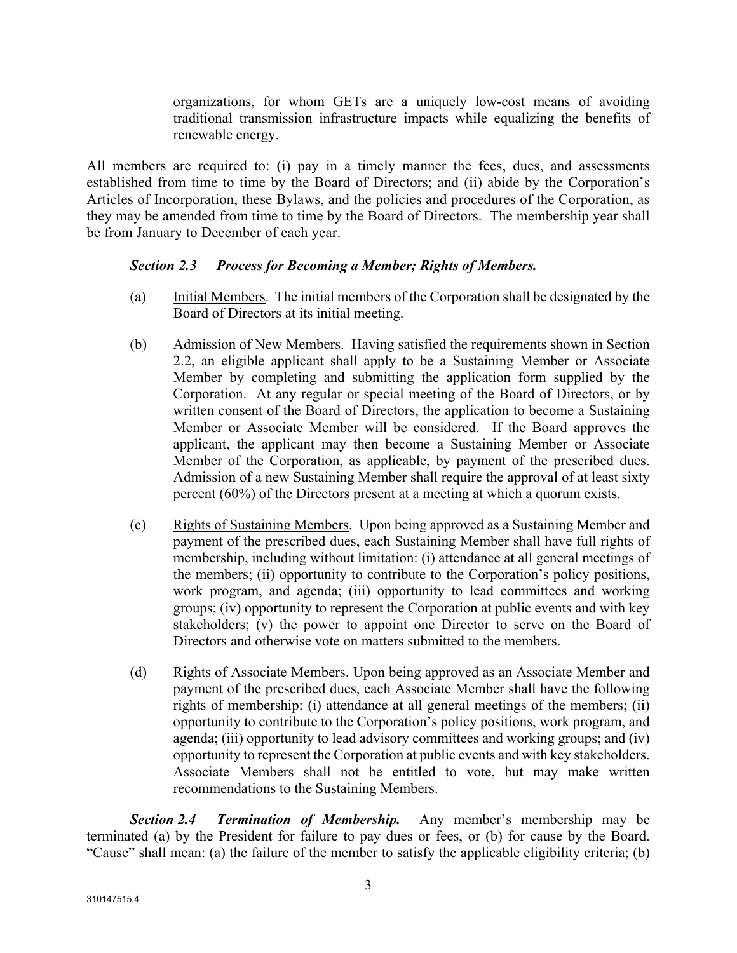organizations, for whom GETs are a uniquely low-cost means of avoiding traditional transmission infrastructure impacts while equalizing the benefits of renewable energy.

All members are required to: (i) pay in a timely manner the fees, dues, and assessments established from time to time by the Board of Directors; and (ii) abide by the Corporation's Articles of Incorporation, these Bylaws, and the policies and procedures of the Corporation, as they may be amended from time to time by the Board of Directors. The membership year shall be from January to December of each year.

# *Section 2.3 Process for Becoming a Member; Rights of Members.*

- (a) Initial Members. The initial members of the Corporation shall be designated by the Board of Directors at its initial meeting.
- (b) Admission of New Members. Having satisfied the requirements shown in Section 2.2, an eligible applicant shall apply to be a Sustaining Member or Associate Member by completing and submitting the application form supplied by the Corporation. At any regular or special meeting of the Board of Directors, or by written consent of the Board of Directors, the application to become a Sustaining Member or Associate Member will be considered. If the Board approves the applicant, the applicant may then become a Sustaining Member or Associate Member of the Corporation, as applicable, by payment of the prescribed dues. Admission of a new Sustaining Member shall require the approval of at least sixty percent (60%) of the Directors present at a meeting at which a quorum exists.
- (c) Rights of Sustaining Members. Upon being approved as a Sustaining Member and payment of the prescribed dues, each Sustaining Member shall have full rights of membership, including without limitation: (i) attendance at all general meetings of the members; (ii) opportunity to contribute to the Corporation's policy positions, work program, and agenda; (iii) opportunity to lead committees and working groups; (iv) opportunity to represent the Corporation at public events and with key stakeholders; (v) the power to appoint one Director to serve on the Board of Directors and otherwise vote on matters submitted to the members.
- (d) Rights of Associate Members. Upon being approved as an Associate Member and payment of the prescribed dues, each Associate Member shall have the following rights of membership: (i) attendance at all general meetings of the members; (ii) opportunity to contribute to the Corporation's policy positions, work program, and agenda; (iii) opportunity to lead advisory committees and working groups; and (iv) opportunity to represent the Corporation at public events and with key stakeholders. Associate Members shall not be entitled to vote, but may make written recommendations to the Sustaining Members.

*Section 2.4 Termination of Membership.* Any member's membership may be terminated (a) by the President for failure to pay dues or fees, or (b) for cause by the Board. "Cause" shall mean: (a) the failure of the member to satisfy the applicable eligibility criteria; (b)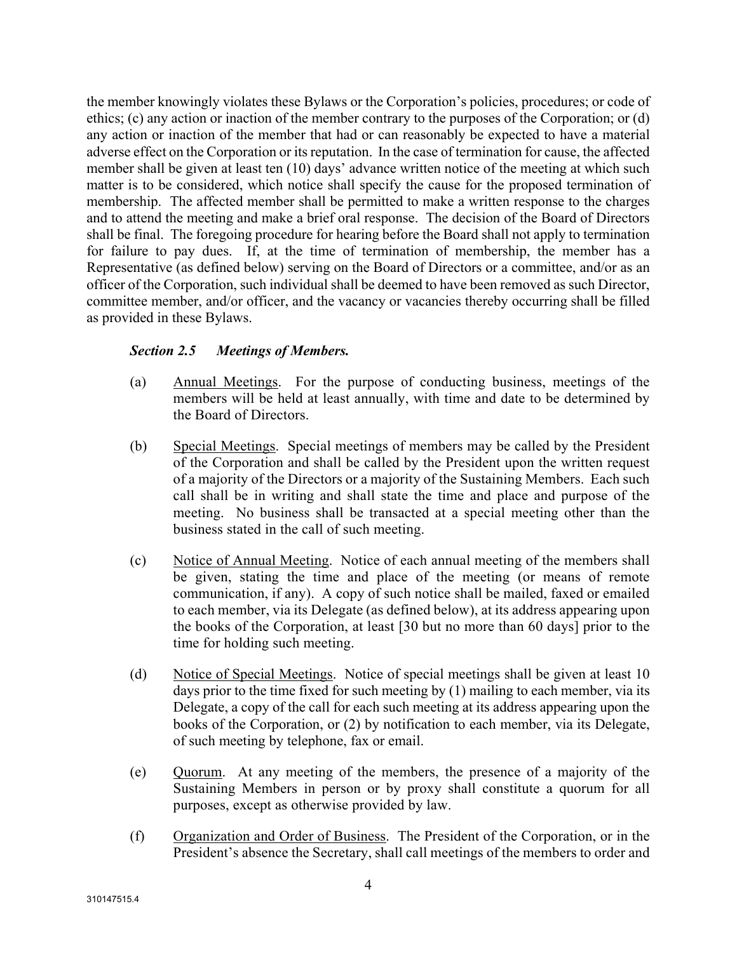the member knowingly violates these Bylaws or the Corporation's policies, procedures; or code of ethics; (c) any action or inaction of the member contrary to the purposes of the Corporation; or (d) any action or inaction of the member that had or can reasonably be expected to have a material adverse effect on the Corporation or its reputation. In the case of termination for cause, the affected member shall be given at least ten (10) days' advance written notice of the meeting at which such matter is to be considered, which notice shall specify the cause for the proposed termination of membership. The affected member shall be permitted to make a written response to the charges and to attend the meeting and make a brief oral response. The decision of the Board of Directors shall be final. The foregoing procedure for hearing before the Board shall not apply to termination for failure to pay dues. If, at the time of termination of membership, the member has a Representative (as defined below) serving on the Board of Directors or a committee, and/or as an officer of the Corporation, such individual shall be deemed to have been removed as such Director, committee member, and/or officer, and the vacancy or vacancies thereby occurring shall be filled as provided in these Bylaws.

# *Section 2.5 Meetings of Members.*

- (a) Annual Meetings. For the purpose of conducting business, meetings of the members will be held at least annually, with time and date to be determined by the Board of Directors.
- (b) Special Meetings. Special meetings of members may be called by the President of the Corporation and shall be called by the President upon the written request of a majority of the Directors or a majority of the Sustaining Members. Each such call shall be in writing and shall state the time and place and purpose of the meeting. No business shall be transacted at a special meeting other than the business stated in the call of such meeting.
- (c) Notice of Annual Meeting. Notice of each annual meeting of the members shall be given, stating the time and place of the meeting (or means of remote communication, if any). A copy of such notice shall be mailed, faxed or emailed to each member, via its Delegate (as defined below), at its address appearing upon the books of the Corporation, at least [30 but no more than 60 days] prior to the time for holding such meeting.
- (d) Notice of Special Meetings. Notice of special meetings shall be given at least 10 days prior to the time fixed for such meeting by (1) mailing to each member, via its Delegate, a copy of the call for each such meeting at its address appearing upon the books of the Corporation, or (2) by notification to each member, via its Delegate, of such meeting by telephone, fax or email.
- (e) Quorum. At any meeting of the members, the presence of a majority of the Sustaining Members in person or by proxy shall constitute a quorum for all purposes, except as otherwise provided by law.
- (f) Organization and Order of Business. The President of the Corporation, or in the President's absence the Secretary, shall call meetings of the members to order and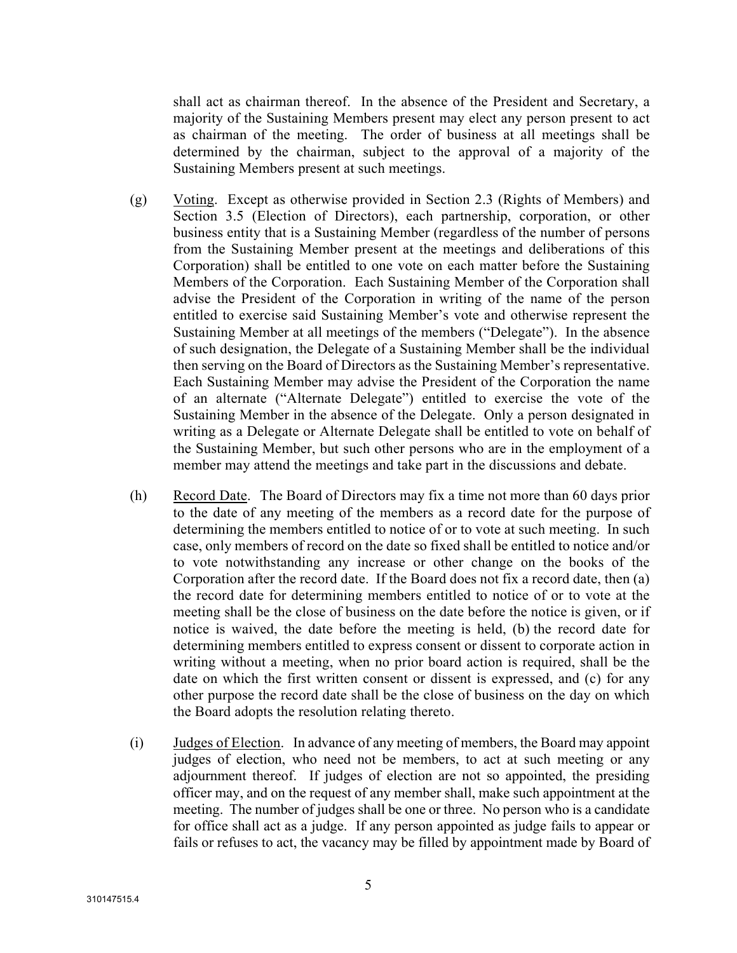shall act as chairman thereof. In the absence of the President and Secretary, a majority of the Sustaining Members present may elect any person present to act as chairman of the meeting. The order of business at all meetings shall be determined by the chairman, subject to the approval of a majority of the Sustaining Members present at such meetings.

- (g) Voting. Except as otherwise provided in Section 2.3 (Rights of Members) and Section 3.5 (Election of Directors), each partnership, corporation, or other business entity that is a Sustaining Member (regardless of the number of persons from the Sustaining Member present at the meetings and deliberations of this Corporation) shall be entitled to one vote on each matter before the Sustaining Members of the Corporation. Each Sustaining Member of the Corporation shall advise the President of the Corporation in writing of the name of the person entitled to exercise said Sustaining Member's vote and otherwise represent the Sustaining Member at all meetings of the members ("Delegate"). In the absence of such designation, the Delegate of a Sustaining Member shall be the individual then serving on the Board of Directors as the Sustaining Member's representative. Each Sustaining Member may advise the President of the Corporation the name of an alternate ("Alternate Delegate") entitled to exercise the vote of the Sustaining Member in the absence of the Delegate. Only a person designated in writing as a Delegate or Alternate Delegate shall be entitled to vote on behalf of the Sustaining Member, but such other persons who are in the employment of a member may attend the meetings and take part in the discussions and debate.
- (h) Record Date. The Board of Directors may fix a time not more than 60 days prior to the date of any meeting of the members as a record date for the purpose of determining the members entitled to notice of or to vote at such meeting. In such case, only members of record on the date so fixed shall be entitled to notice and/or to vote notwithstanding any increase or other change on the books of the Corporation after the record date. If the Board does not fix a record date, then (a) the record date for determining members entitled to notice of or to vote at the meeting shall be the close of business on the date before the notice is given, or if notice is waived, the date before the meeting is held, (b) the record date for determining members entitled to express consent or dissent to corporate action in writing without a meeting, when no prior board action is required, shall be the date on which the first written consent or dissent is expressed, and (c) for any other purpose the record date shall be the close of business on the day on which the Board adopts the resolution relating thereto.
- (i) Judges of Election. In advance of any meeting of members, the Board may appoint judges of election, who need not be members, to act at such meeting or any adjournment thereof. If judges of election are not so appointed, the presiding officer may, and on the request of any member shall, make such appointment at the meeting. The number of judges shall be one or three. No person who is a candidate for office shall act as a judge. If any person appointed as judge fails to appear or fails or refuses to act, the vacancy may be filled by appointment made by Board of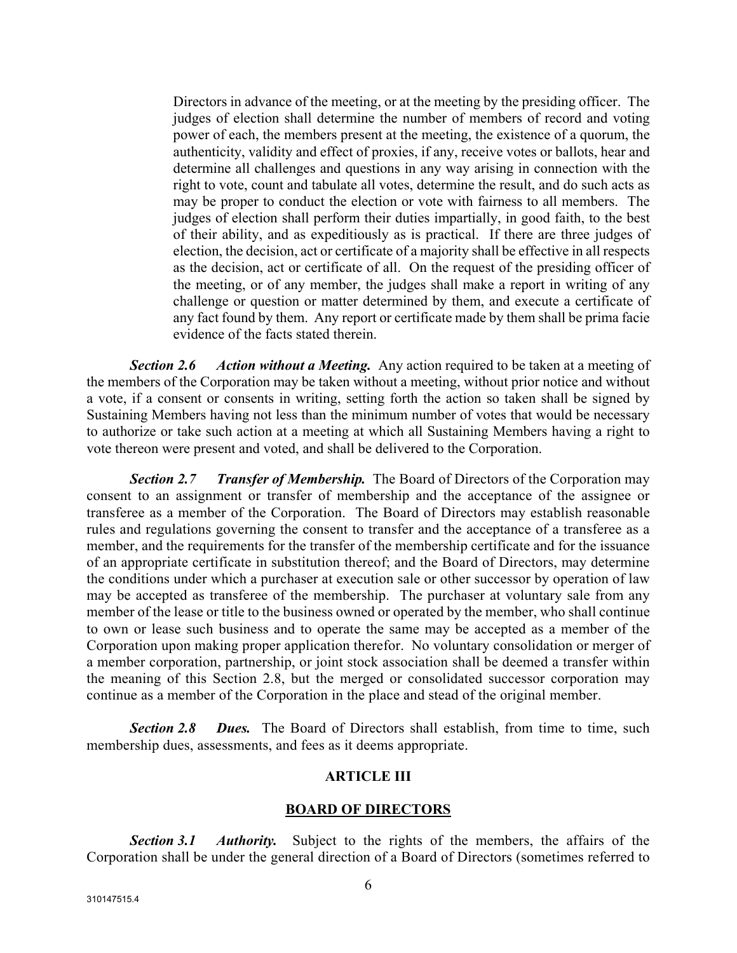Directors in advance of the meeting, or at the meeting by the presiding officer. The judges of election shall determine the number of members of record and voting power of each, the members present at the meeting, the existence of a quorum, the authenticity, validity and effect of proxies, if any, receive votes or ballots, hear and determine all challenges and questions in any way arising in connection with the right to vote, count and tabulate all votes, determine the result, and do such acts as may be proper to conduct the election or vote with fairness to all members. The judges of election shall perform their duties impartially, in good faith, to the best of their ability, and as expeditiously as is practical. If there are three judges of election, the decision, act or certificate of a majority shall be effective in all respects as the decision, act or certificate of all. On the request of the presiding officer of the meeting, or of any member, the judges shall make a report in writing of any challenge or question or matter determined by them, and execute a certificate of any fact found by them. Any report or certificate made by them shall be prima facie evidence of the facts stated therein.

*Section 2.6 Action without a Meeting.* Any action required to be taken at a meeting of the members of the Corporation may be taken without a meeting, without prior notice and without a vote, if a consent or consents in writing, setting forth the action so taken shall be signed by Sustaining Members having not less than the minimum number of votes that would be necessary to authorize or take such action at a meeting at which all Sustaining Members having a right to vote thereon were present and voted, and shall be delivered to the Corporation.

*Section 2.7 Transfer of Membership.* The Board of Directors of the Corporation may consent to an assignment or transfer of membership and the acceptance of the assignee or transferee as a member of the Corporation. The Board of Directors may establish reasonable rules and regulations governing the consent to transfer and the acceptance of a transferee as a member, and the requirements for the transfer of the membership certificate and for the issuance of an appropriate certificate in substitution thereof; and the Board of Directors, may determine the conditions under which a purchaser at execution sale or other successor by operation of law may be accepted as transferee of the membership. The purchaser at voluntary sale from any member of the lease or title to the business owned or operated by the member, who shall continue to own or lease such business and to operate the same may be accepted as a member of the Corporation upon making proper application therefor. No voluntary consolidation or merger of a member corporation, partnership, or joint stock association shall be deemed a transfer within the meaning of this Section 2.8, but the merged or consolidated successor corporation may continue as a member of the Corporation in the place and stead of the original member.

*Section 2.8 Dues.* The Board of Directors shall establish, from time to time, such membership dues, assessments, and fees as it deems appropriate.

#### **ARTICLE III**

#### **BOARD OF DIRECTORS**

*Section 3.1 Authority.* Subject to the rights of the members, the affairs of the Corporation shall be under the general direction of a Board of Directors (sometimes referred to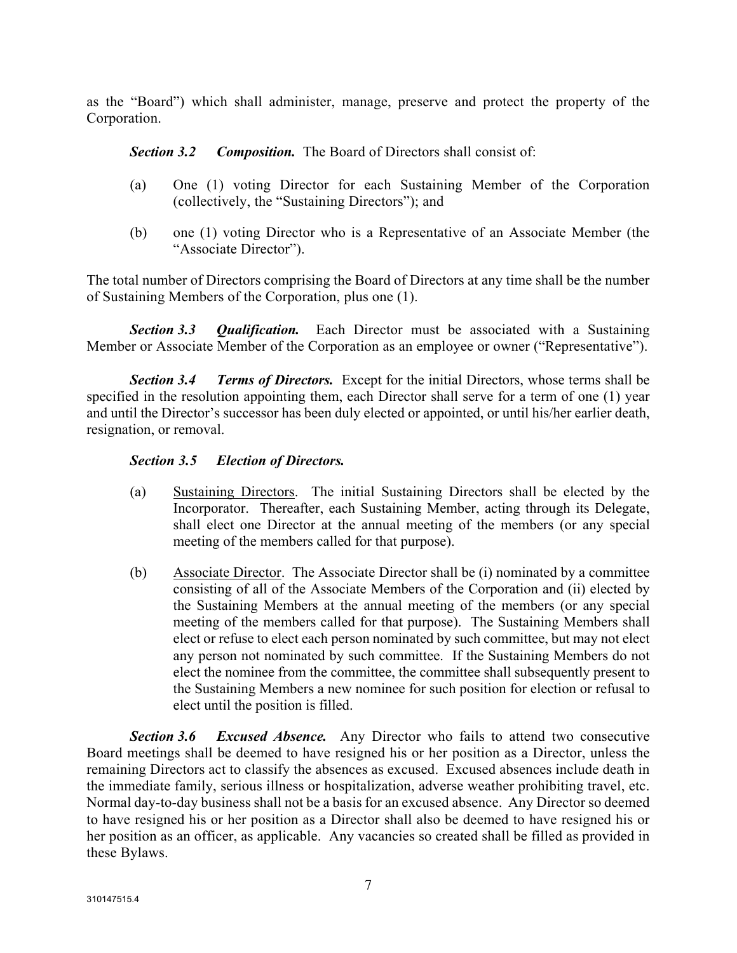as the "Board") which shall administer, manage, preserve and protect the property of the Corporation.

*Section 3.2 Composition.* The Board of Directors shall consist of:

- (a) One (1) voting Director for each Sustaining Member of the Corporation (collectively, the "Sustaining Directors"); and
- (b) one (1) voting Director who is a Representative of an Associate Member (the "Associate Director").

The total number of Directors comprising the Board of Directors at any time shall be the number of Sustaining Members of the Corporation, plus one (1).

*Section 3.3 Qualification.* Each Director must be associated with a Sustaining Member or Associate Member of the Corporation as an employee or owner ("Representative").

*Section 3.4 Terms of Directors.* Except for the initial Directors, whose terms shall be specified in the resolution appointing them, each Director shall serve for a term of one (1) year and until the Director's successor has been duly elected or appointed, or until his/her earlier death, resignation, or removal.

# *Section 3.5 Election of Directors.*

- (a) Sustaining Directors. The initial Sustaining Directors shall be elected by the Incorporator. Thereafter, each Sustaining Member, acting through its Delegate, shall elect one Director at the annual meeting of the members (or any special meeting of the members called for that purpose).
- (b) Associate Director. The Associate Director shall be (i) nominated by a committee consisting of all of the Associate Members of the Corporation and (ii) elected by the Sustaining Members at the annual meeting of the members (or any special meeting of the members called for that purpose). The Sustaining Members shall elect or refuse to elect each person nominated by such committee, but may not elect any person not nominated by such committee. If the Sustaining Members do not elect the nominee from the committee, the committee shall subsequently present to the Sustaining Members a new nominee for such position for election or refusal to elect until the position is filled.

*Section 3.6 Excused Absence.* Any Director who fails to attend two consecutive Board meetings shall be deemed to have resigned his or her position as a Director, unless the remaining Directors act to classify the absences as excused. Excused absences include death in the immediate family, serious illness or hospitalization, adverse weather prohibiting travel, etc. Normal day-to-day business shall not be a basis for an excused absence. Any Director so deemed to have resigned his or her position as a Director shall also be deemed to have resigned his or her position as an officer, as applicable. Any vacancies so created shall be filled as provided in these Bylaws.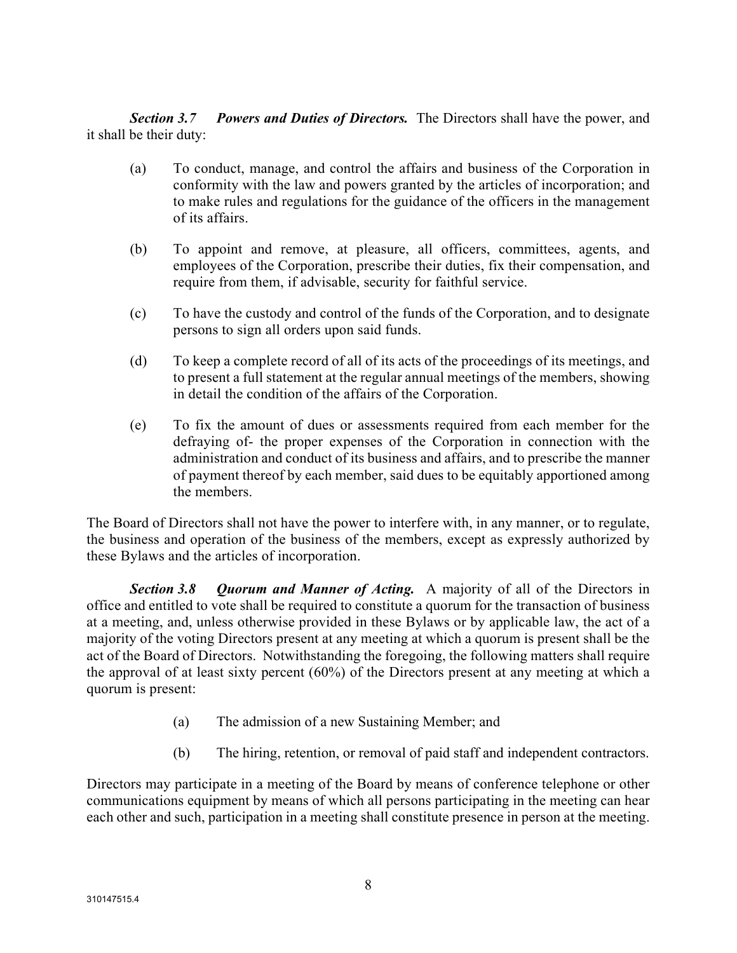*Section 3.7 Powers and Duties of Directors.* The Directors shall have the power, and it shall be their duty:

- (a) To conduct, manage, and control the affairs and business of the Corporation in conformity with the law and powers granted by the articles of incorporation; and to make rules and regulations for the guidance of the officers in the management of its affairs.
- (b) To appoint and remove, at pleasure, all officers, committees, agents, and employees of the Corporation, prescribe their duties, fix their compensation, and require from them, if advisable, security for faithful service.
- (c) To have the custody and control of the funds of the Corporation, and to designate persons to sign all orders upon said funds.
- (d) To keep a complete record of all of its acts of the proceedings of its meetings, and to present a full statement at the regular annual meetings of the members, showing in detail the condition of the affairs of the Corporation.
- (e) To fix the amount of dues or assessments required from each member for the defraying of- the proper expenses of the Corporation in connection with the administration and conduct of its business and affairs, and to prescribe the manner of payment thereof by each member, said dues to be equitably apportioned among the members.

The Board of Directors shall not have the power to interfere with, in any manner, or to regulate, the business and operation of the business of the members, except as expressly authorized by these Bylaws and the articles of incorporation.

*Section 3.8 Quorum and Manner of Acting.* A majority of all of the Directors in office and entitled to vote shall be required to constitute a quorum for the transaction of business at a meeting, and, unless otherwise provided in these Bylaws or by applicable law, the act of a majority of the voting Directors present at any meeting at which a quorum is present shall be the act of the Board of Directors. Notwithstanding the foregoing, the following matters shall require the approval of at least sixty percent (60%) of the Directors present at any meeting at which a quorum is present:

- (a) The admission of a new Sustaining Member; and
- (b) The hiring, retention, or removal of paid staff and independent contractors.

Directors may participate in a meeting of the Board by means of conference telephone or other communications equipment by means of which all persons participating in the meeting can hear each other and such, participation in a meeting shall constitute presence in person at the meeting.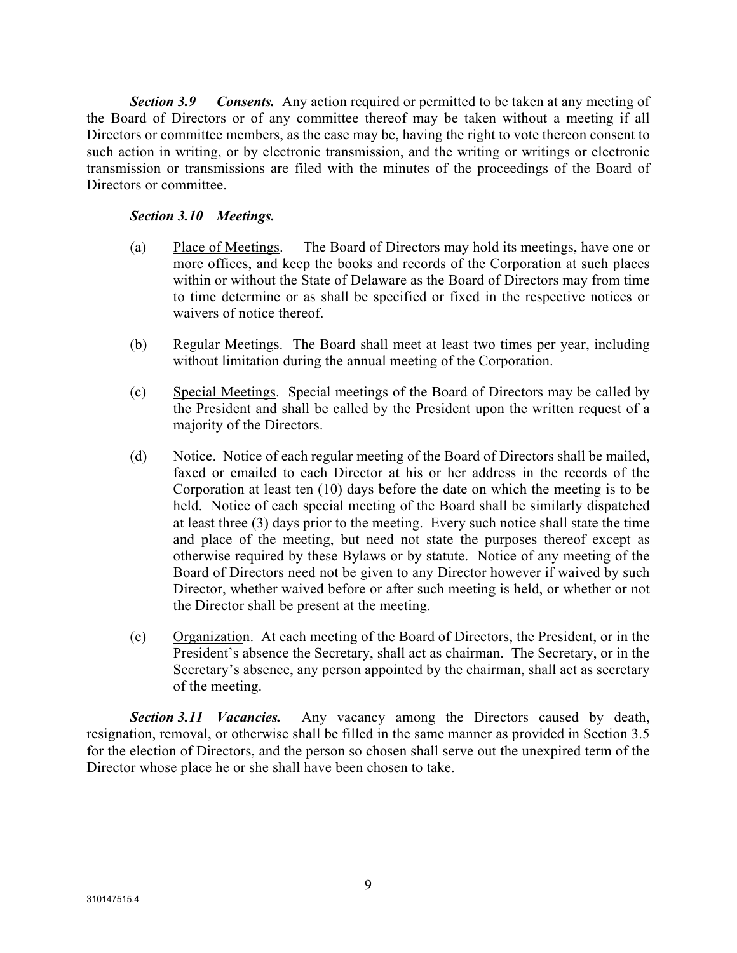*Section 3.9 Consents.* Any action required or permitted to be taken at any meeting of the Board of Directors or of any committee thereof may be taken without a meeting if all Directors or committee members, as the case may be, having the right to vote thereon consent to such action in writing, or by electronic transmission, and the writing or writings or electronic transmission or transmissions are filed with the minutes of the proceedings of the Board of Directors or committee.

# *Section 3.10 Meetings.*

- (a) Place of Meetings. The Board of Directors may hold its meetings, have one or more offices, and keep the books and records of the Corporation at such places within or without the State of Delaware as the Board of Directors may from time to time determine or as shall be specified or fixed in the respective notices or waivers of notice thereof.
- (b) Regular Meetings. The Board shall meet at least two times per year, including without limitation during the annual meeting of the Corporation.
- (c) Special Meetings. Special meetings of the Board of Directors may be called by the President and shall be called by the President upon the written request of a majority of the Directors.
- (d) Notice. Notice of each regular meeting of the Board of Directors shall be mailed, faxed or emailed to each Director at his or her address in the records of the Corporation at least ten (10) days before the date on which the meeting is to be held. Notice of each special meeting of the Board shall be similarly dispatched at least three (3) days prior to the meeting. Every such notice shall state the time and place of the meeting, but need not state the purposes thereof except as otherwise required by these Bylaws or by statute. Notice of any meeting of the Board of Directors need not be given to any Director however if waived by such Director, whether waived before or after such meeting is held, or whether or not the Director shall be present at the meeting.
- (e) Organization. At each meeting of the Board of Directors, the President, or in the President's absence the Secretary, shall act as chairman. The Secretary, or in the Secretary's absence, any person appointed by the chairman, shall act as secretary of the meeting.

*Section 3.11 Vacancies.* Any vacancy among the Directors caused by death, resignation, removal, or otherwise shall be filled in the same manner as provided in Section 3.5 for the election of Directors, and the person so chosen shall serve out the unexpired term of the Director whose place he or she shall have been chosen to take.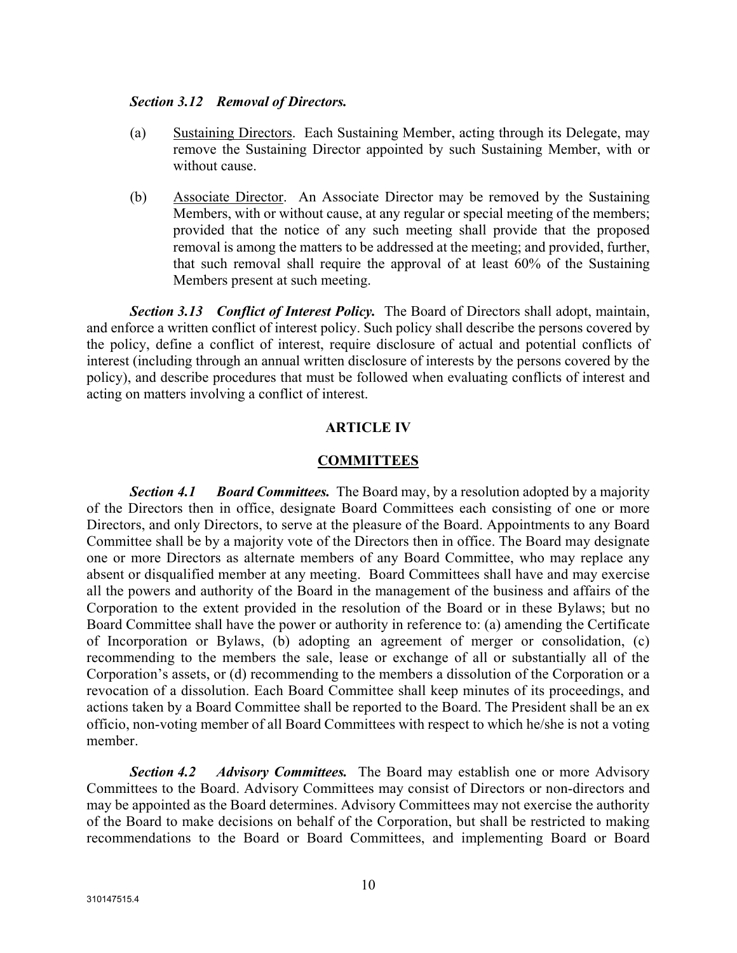#### *Section 3.12 Removal of Directors.*

- (a) Sustaining Directors. Each Sustaining Member, acting through its Delegate, may remove the Sustaining Director appointed by such Sustaining Member, with or without cause.
- (b) Associate Director. An Associate Director may be removed by the Sustaining Members, with or without cause, at any regular or special meeting of the members; provided that the notice of any such meeting shall provide that the proposed removal is among the matters to be addressed at the meeting; and provided, further, that such removal shall require the approval of at least 60% of the Sustaining Members present at such meeting.

*Section 3.13 Conflict of Interest Policy.* The Board of Directors shall adopt, maintain, and enforce a written conflict of interest policy. Such policy shall describe the persons covered by the policy, define a conflict of interest, require disclosure of actual and potential conflicts of interest (including through an annual written disclosure of interests by the persons covered by the policy), and describe procedures that must be followed when evaluating conflicts of interest and acting on matters involving a conflict of interest.

# **ARTICLE IV**

#### **COMMITTEES**

*Section 4.1 Board Committees.* The Board may, by a resolution adopted by a majority of the Directors then in office, designate Board Committees each consisting of one or more Directors, and only Directors, to serve at the pleasure of the Board. Appointments to any Board Committee shall be by a majority vote of the Directors then in office. The Board may designate one or more Directors as alternate members of any Board Committee, who may replace any absent or disqualified member at any meeting. Board Committees shall have and may exercise all the powers and authority of the Board in the management of the business and affairs of the Corporation to the extent provided in the resolution of the Board or in these Bylaws; but no Board Committee shall have the power or authority in reference to: (a) amending the Certificate of Incorporation or Bylaws, (b) adopting an agreement of merger or consolidation, (c) recommending to the members the sale, lease or exchange of all or substantially all of the Corporation's assets, or (d) recommending to the members a dissolution of the Corporation or a revocation of a dissolution. Each Board Committee shall keep minutes of its proceedings, and actions taken by a Board Committee shall be reported to the Board. The President shall be an ex officio, non-voting member of all Board Committees with respect to which he/she is not a voting member.

*Section 4.2 Advisory Committees.* The Board may establish one or more Advisory Committees to the Board. Advisory Committees may consist of Directors or non-directors and may be appointed as the Board determines. Advisory Committees may not exercise the authority of the Board to make decisions on behalf of the Corporation, but shall be restricted to making recommendations to the Board or Board Committees, and implementing Board or Board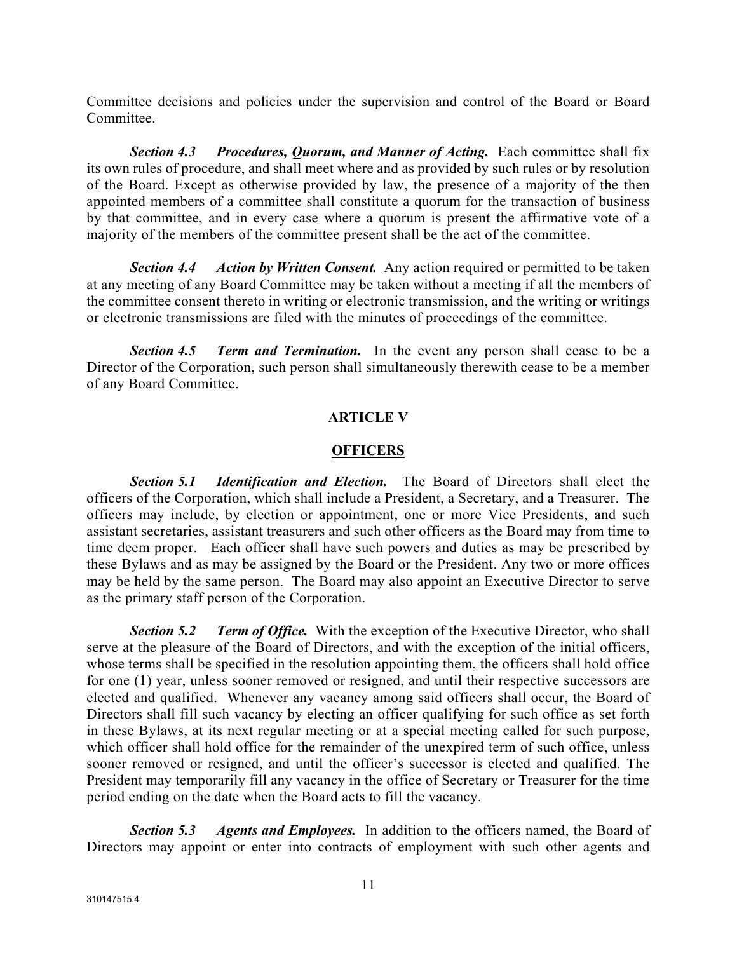Committee decisions and policies under the supervision and control of the Board or Board Committee.

*Section 4.3 Procedures, Quorum, and Manner of Acting.* Each committee shall fix its own rules of procedure, and shall meet where and as provided by such rules or by resolution of the Board. Except as otherwise provided by law, the presence of a majority of the then appointed members of a committee shall constitute a quorum for the transaction of business by that committee, and in every case where a quorum is present the affirmative vote of a majority of the members of the committee present shall be the act of the committee.

*Section 4.4 Action by Written Consent.* Any action required or permitted to be taken at any meeting of any Board Committee may be taken without a meeting if all the members of the committee consent thereto in writing or electronic transmission, and the writing or writings or electronic transmissions are filed with the minutes of proceedings of the committee.

*Section 4.5 Term and Termination.* In the event any person shall cease to be a Director of the Corporation, such person shall simultaneously therewith cease to be a member of any Board Committee.

# **ARTICLE V**

# **OFFICERS**

*Section 5.1 Identification and Election.* The Board of Directors shall elect the officers of the Corporation, which shall include a President, a Secretary, and a Treasurer. The officers may include, by election or appointment, one or more Vice Presidents, and such assistant secretaries, assistant treasurers and such other officers as the Board may from time to time deem proper. Each officer shall have such powers and duties as may be prescribed by these Bylaws and as may be assigned by the Board or the President. Any two or more offices may be held by the same person. The Board may also appoint an Executive Director to serve as the primary staff person of the Corporation.

*Section 5.2 Term of Office.* With the exception of the Executive Director, who shall serve at the pleasure of the Board of Directors, and with the exception of the initial officers, whose terms shall be specified in the resolution appointing them, the officers shall hold office for one (1) year, unless sooner removed or resigned, and until their respective successors are elected and qualified. Whenever any vacancy among said officers shall occur, the Board of Directors shall fill such vacancy by electing an officer qualifying for such office as set forth in these Bylaws, at its next regular meeting or at a special meeting called for such purpose, which officer shall hold office for the remainder of the unexpired term of such office, unless sooner removed or resigned, and until the officer's successor is elected and qualified. The President may temporarily fill any vacancy in the office of Secretary or Treasurer for the time period ending on the date when the Board acts to fill the vacancy.

*Section 5.3 Agents and Employees.* In addition to the officers named, the Board of Directors may appoint or enter into contracts of employment with such other agents and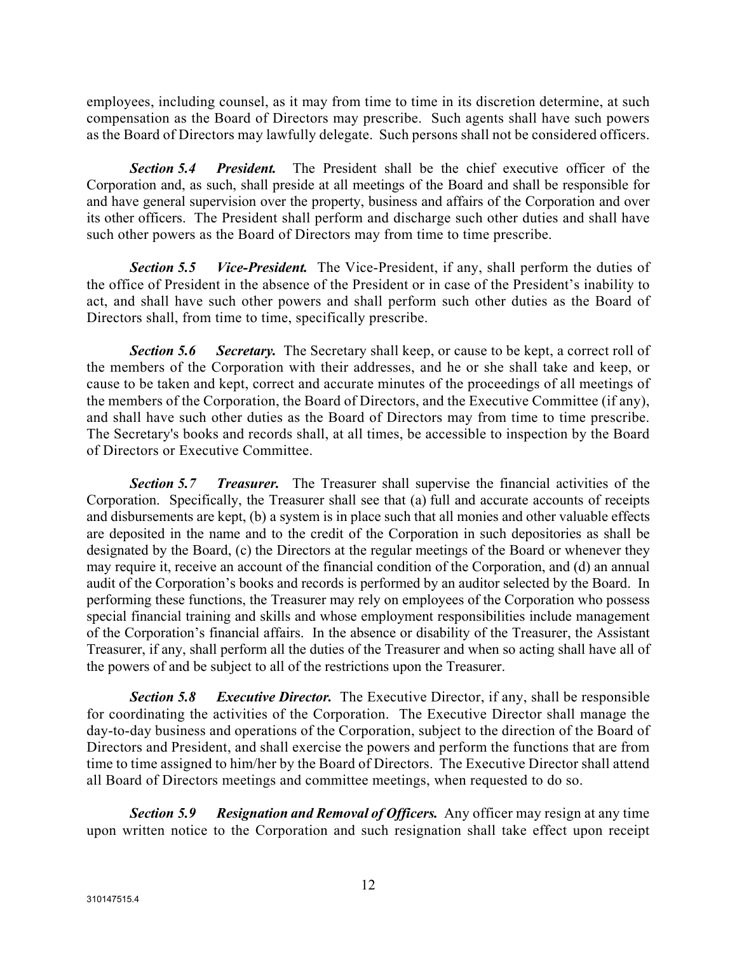employees, including counsel, as it may from time to time in its discretion determine, at such compensation as the Board of Directors may prescribe. Such agents shall have such powers as the Board of Directors may lawfully delegate. Such persons shall not be considered officers.

*Section 5.4 President.* The President shall be the chief executive officer of the Corporation and, as such, shall preside at all meetings of the Board and shall be responsible for and have general supervision over the property, business and affairs of the Corporation and over its other officers. The President shall perform and discharge such other duties and shall have such other powers as the Board of Directors may from time to time prescribe.

*Section 5.5 Vice-President.* The Vice-President, if any, shall perform the duties of the office of President in the absence of the President or in case of the President's inability to act, and shall have such other powers and shall perform such other duties as the Board of Directors shall, from time to time, specifically prescribe.

*Section 5.6 Secretary.* The Secretary shall keep, or cause to be kept, a correct roll of the members of the Corporation with their addresses, and he or she shall take and keep, or cause to be taken and kept, correct and accurate minutes of the proceedings of all meetings of the members of the Corporation, the Board of Directors, and the Executive Committee (if any), and shall have such other duties as the Board of Directors may from time to time prescribe. The Secretary's books and records shall, at all times, be accessible to inspection by the Board of Directors or Executive Committee.

*Section 5.7 Treasurer.* The Treasurer shall supervise the financial activities of the Corporation. Specifically, the Treasurer shall see that (a) full and accurate accounts of receipts and disbursements are kept, (b) a system is in place such that all monies and other valuable effects are deposited in the name and to the credit of the Corporation in such depositories as shall be designated by the Board, (c) the Directors at the regular meetings of the Board or whenever they may require it, receive an account of the financial condition of the Corporation, and (d) an annual audit of the Corporation's books and records is performed by an auditor selected by the Board. In performing these functions, the Treasurer may rely on employees of the Corporation who possess special financial training and skills and whose employment responsibilities include management of the Corporation's financial affairs. In the absence or disability of the Treasurer, the Assistant Treasurer, if any, shall perform all the duties of the Treasurer and when so acting shall have all of the powers of and be subject to all of the restrictions upon the Treasurer.

*Section 5.8 Executive Director.* The Executive Director, if any, shall be responsible for coordinating the activities of the Corporation. The Executive Director shall manage the day-to-day business and operations of the Corporation, subject to the direction of the Board of Directors and President, and shall exercise the powers and perform the functions that are from time to time assigned to him/her by the Board of Directors. The Executive Director shall attend all Board of Directors meetings and committee meetings, when requested to do so.

*Section 5.9 Resignation and Removal of Officers.* Any officer may resign at any time upon written notice to the Corporation and such resignation shall take effect upon receipt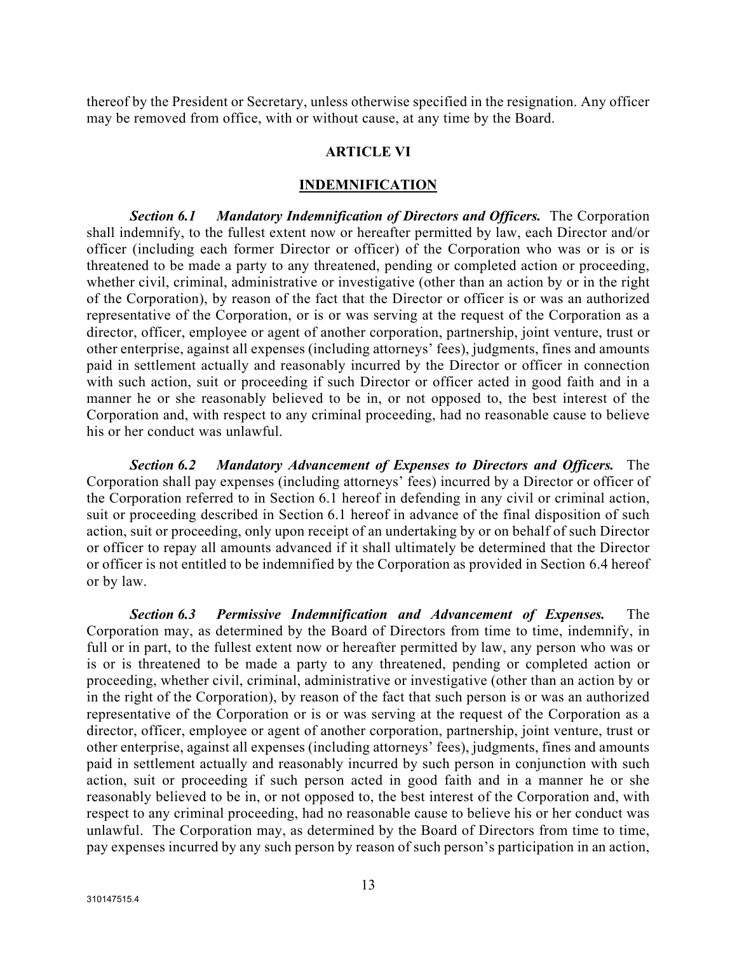thereof by the President or Secretary, unless otherwise specified in the resignation. Any officer may be removed from office, with or without cause, at any time by the Board.

#### **ARTICLE VI**

#### **INDEMNIFICATION**

*Section 6.1 Mandatory Indemnification of Directors and Officers.* The Corporation shall indemnify, to the fullest extent now or hereafter permitted by law, each Director and/or officer (including each former Director or officer) of the Corporation who was or is or is threatened to be made a party to any threatened, pending or completed action or proceeding, whether civil, criminal, administrative or investigative (other than an action by or in the right of the Corporation), by reason of the fact that the Director or officer is or was an authorized representative of the Corporation, or is or was serving at the request of the Corporation as a director, officer, employee or agent of another corporation, partnership, joint venture, trust or other enterprise, against all expenses (including attorneys' fees), judgments, fines and amounts paid in settlement actually and reasonably incurred by the Director or officer in connection with such action, suit or proceeding if such Director or officer acted in good faith and in a manner he or she reasonably believed to be in, or not opposed to, the best interest of the Corporation and, with respect to any criminal proceeding, had no reasonable cause to believe his or her conduct was unlawful.

*Section 6.2 Mandatory Advancement of Expenses to Directors and Officers.* The Corporation shall pay expenses (including attorneys' fees) incurred by a Director or officer of the Corporation referred to in Section 6.1 hereof in defending in any civil or criminal action, suit or proceeding described in Section 6.1 hereof in advance of the final disposition of such action, suit or proceeding, only upon receipt of an undertaking by or on behalf of such Director or officer to repay all amounts advanced if it shall ultimately be determined that the Director or officer is not entitled to be indemnified by the Corporation as provided in Section 6.4 hereof or by law.

*Section 6.3 Permissive Indemnification and Advancement of Expenses.* The Corporation may, as determined by the Board of Directors from time to time, indemnify, in full or in part, to the fullest extent now or hereafter permitted by law, any person who was or is or is threatened to be made a party to any threatened, pending or completed action or proceeding, whether civil, criminal, administrative or investigative (other than an action by or in the right of the Corporation), by reason of the fact that such person is or was an authorized representative of the Corporation or is or was serving at the request of the Corporation as a director, officer, employee or agent of another corporation, partnership, joint venture, trust or other enterprise, against all expenses (including attorneys' fees), judgments, fines and amounts paid in settlement actually and reasonably incurred by such person in conjunction with such action, suit or proceeding if such person acted in good faith and in a manner he or she reasonably believed to be in, or not opposed to, the best interest of the Corporation and, with respect to any criminal proceeding, had no reasonable cause to believe his or her conduct was unlawful. The Corporation may, as determined by the Board of Directors from time to time, pay expenses incurred by any such person by reason of such person's participation in an action,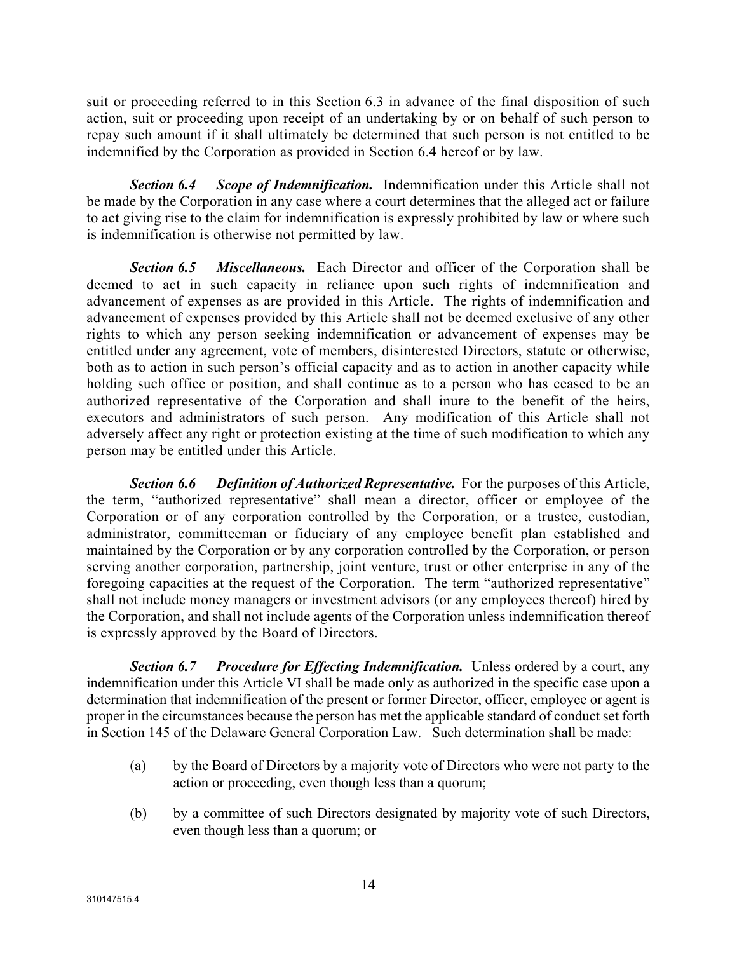suit or proceeding referred to in this Section 6.3 in advance of the final disposition of such action, suit or proceeding upon receipt of an undertaking by or on behalf of such person to repay such amount if it shall ultimately be determined that such person is not entitled to be indemnified by the Corporation as provided in Section 6.4 hereof or by law.

*Section 6.4 Scope of Indemnification.* Indemnification under this Article shall not be made by the Corporation in any case where a court determines that the alleged act or failure to act giving rise to the claim for indemnification is expressly prohibited by law or where such is indemnification is otherwise not permitted by law.

*Section 6.5 Miscellaneous.* Each Director and officer of the Corporation shall be deemed to act in such capacity in reliance upon such rights of indemnification and advancement of expenses as are provided in this Article. The rights of indemnification and advancement of expenses provided by this Article shall not be deemed exclusive of any other rights to which any person seeking indemnification or advancement of expenses may be entitled under any agreement, vote of members, disinterested Directors, statute or otherwise, both as to action in such person's official capacity and as to action in another capacity while holding such office or position, and shall continue as to a person who has ceased to be an authorized representative of the Corporation and shall inure to the benefit of the heirs, executors and administrators of such person. Any modification of this Article shall not adversely affect any right or protection existing at the time of such modification to which any person may be entitled under this Article.

*Section 6.6 Definition of Authorized Representative.* For the purposes of this Article, the term, "authorized representative" shall mean a director, officer or employee of the Corporation or of any corporation controlled by the Corporation, or a trustee, custodian, administrator, committeeman or fiduciary of any employee benefit plan established and maintained by the Corporation or by any corporation controlled by the Corporation, or person serving another corporation, partnership, joint venture, trust or other enterprise in any of the foregoing capacities at the request of the Corporation. The term "authorized representative" shall not include money managers or investment advisors (or any employees thereof) hired by the Corporation, and shall not include agents of the Corporation unless indemnification thereof is expressly approved by the Board of Directors.

*Section 6.7 Procedure for Effecting Indemnification.* Unless ordered by a court, any indemnification under this Article VI shall be made only as authorized in the specific case upon a determination that indemnification of the present or former Director, officer, employee or agent is proper in the circumstances because the person has met the applicable standard of conduct set forth in Section 145 of the Delaware General Corporation Law. Such determination shall be made:

- (a) by the Board of Directors by a majority vote of Directors who were not party to the action or proceeding, even though less than a quorum;
- (b) by a committee of such Directors designated by majority vote of such Directors, even though less than a quorum; or